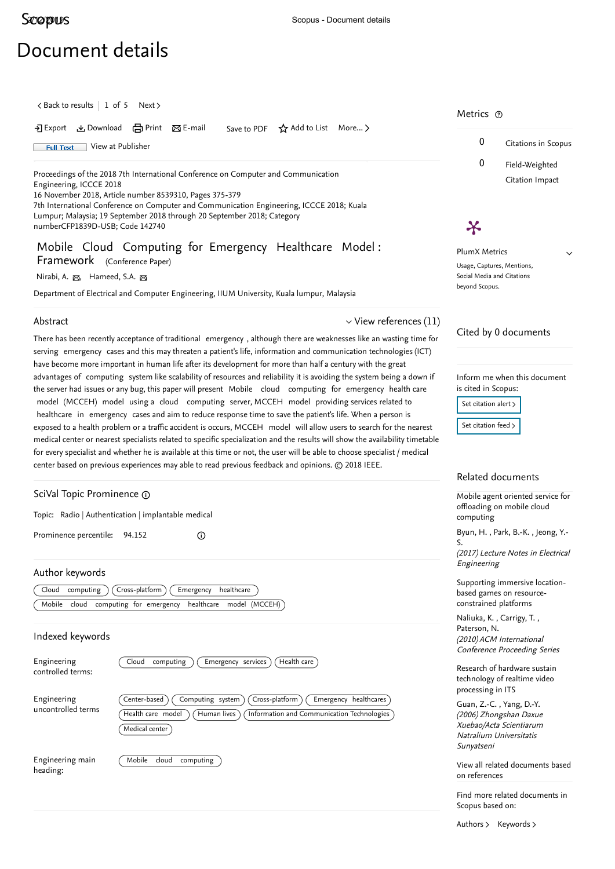## <span id="page-0-0"></span>**[Scopus](https://www.scopus.com/home.uri?zone=header&origin=searchbasic)**

heading:

## Document details

 $\langle$  [Back to results](https://www.scopus.com/results/results.uri?sort=plf-f&src=s&st1=Mobile+Cloud+Computing+for+Emergency+Healthcare+Model%3aFramework&st2=&sid=2bdfc1100118c698968983d969f6c7a6&sot=b&sdt=b&sl=78&s=TITLE-ABS-KEY%28Mobile+Cloud+Computing+for+Emergency+Healthcare+Model%3aFramework%29&offset=1&origin=recordpage)  $\vert$  1 of 5 [Next](https://www.scopus.com/record/display.uri?origin=recordpage&eid=2-s2.0-85040039692&citeCnt=0&noHighlight=false&sort=plf-f&src=s&st1=Mobile+Cloud+Computing+for+Emergency+Healthcare+Model%3aFramework&st2=&sid=2bdfc1100118c698968983d969f6c7a6&sot=b&sdt=b&sl=78&s=TITLE-ABS-KEY%28Mobile+Cloud+Computing+for+Emergency+Healthcare+Model%3aFramework%29&relpos=1)  $\rangle$ 

 Export Download Print E-mail Save to PDF ⋆ Add to List More... ▻ 0 Citations in Scopus Full Text [View at Publisher](https://www.scopus.com/redirect/linking.uri?targetURL=https%3a%2f%2fdoi.org%2f10.1109%2fICCCE.2018.8539310&locationID=1&categoryID=4&eid=2-s2.0-85059433110&issn=&linkType=ViewAtPublisher&year=2018&origin=recordpage&dig=1f409f098b8c404455f85c2ba643cd54&recordRank=) 0 Field-Weighted Proceedings of the 2018 7th International Conference on Computer and Communication Citation Impact Engineering, ICCCE 2018 16 November 2018, Article number 8539310, Pages 375-379 7th International Conference on Computer and Communication Engineering, ICCCE 2018; Kuala Lumpur; Malaysia; 19 September 2018 through 20 September 2018; Category numberCFP1839D-USB; Code 142740 X Mobile Cloud Computing for Emergency Healthcare Model : PlumX Metrics  $\checkmark$ Framework (Conference Paper) Usage, Captures, Mentions, Social Media and Citations [Nirabi, A.](https://www.scopus.com/authid/detail.uri?authorId=57205290830&eid=2-s2.0-85059433110) <sub>⊠</sub>, [Hameed, S.A.](https://www.scopus.com/authid/detail.uri?authorId=56246861900&eid=2-s2.0-85059433110) <sub>⊠</sub> beyond Scopus. Department of Electrical and Computer Engineering, IIUM University, Kuala lumpur, Malaysia Abstract  $\vee$  [View references \(11\)](#page-1-0) Cited by 0 documents There has been recently acceptance of traditional emergency , although there are weaknesses like an wasting time for serving emergency cases and this may threaten a patient's life, information and communication technologies (ICT) have become more important in human life after its development for more than half a century with the great advantages of computing system like scalability of resources and reliability it is avoiding the system being a down if Inform me when this document is cited in Scopus: the server had issues or any bug, this paper will present Mobile cloud computing for emergency health care model (MCCEH) model using a cloud computing server, MCCEH model providing services related to Set citation alert > healthcare in emergency cases and aim to reduce response time to save the patient's life. When a person is [Set citation feed](https://www.scopus.com/results/rss/handler.uri?citeEid=2-s2.0-85059433110) > exposed to a health problem or a traffic accident is occurs, MCCEH model will allow users to search for the nearest medical center or nearest specialists related to specific specialization and the results will show the availability timetable for every specialist and whether he is available at this time or not, the user will be able to choose specialist / medical center based on previous experiences may able to read previous feedback and opinions. © 2018 IEEE. Related documents SciVal Topic Prominence [Mobile agent oriented service for](https://www.scopus.com/record/display.uri?origin=recordpage&zone=relatedDocuments&eid=2-s2.0-85007371364&citeCnt=0&noHighlight=false&sort=plf-f&src=s&st1=Mobile+Cloud+Computing+for+Emergency+Healthcare+Model%3aFramework&st2=&sid=2bdfc1100118c698968983d969f6c7a6&sot=b&sdt=b&sl=78&s=TITLE-ABS-KEY%28Mobile+Cloud+Computing+for+Emergency+Healthcare+Model%3aFramework%29&relpos=0) offloading on mobile cloud Topic: Radio | Authentication | implantable medical computing [, ,](https://www.scopus.com/authid/detail.uri?origin=recordpage&authorId=14008238800&zone=relatedDocuments)  [Byun, H.](https://www.scopus.com/authid/detail.uri?origin=recordpage&authorId=56727644700&zone=relatedDocuments) Park, B.-K. Jeong, Y.- Prominence percentile: 94.152  $\odot$ S. (2017) Lecture Notes in Electrical Engineering Author keywords [Supporting immersive location-](https://www.scopus.com/record/display.uri?origin=recordpage&zone=relatedDocuments&eid=2-s2.0-80053206289&citeCnt=0&noHighlight=false&sort=plf-f&src=s&st1=Mobile+Cloud+Computing+for+Emergency+Healthcare+Model%3aFramework&st2=&sid=2bdfc1100118c698968983d969f6c7a6&sot=b&sdt=b&sl=78&s=TITLE-ABS-KEY%28Mobile+Cloud+Computing+for+Emergency+Healthcare+Model%3aFramework%29&relpos=1)Cloud computing (Cross-platform) Emergency healthcare based games on resourceconstrained platforms Mobile cloud computing for emergency healthcare model (MCCEH) [Naliuka, K.](https://www.scopus.com/authid/detail.uri?origin=recordpage&authorId=22035574000&zone=relatedDocuments) , Carrigy, T. , [Paterson, N.](https://www.scopus.com/authid/detail.uri?origin=recordpage&authorId=36624039600&zone=relatedDocuments) Indexed keywords (2010) ACM International Conference Proceeding Series Engineering (Cloud computing) (Emergency services) (Health care [Research of hardware sustain](https://www.scopus.com/record/display.uri?origin=recordpage&zone=relatedDocuments&eid=2-s2.0-34147203250&citeCnt=0&noHighlight=false&sort=plf-f&src=s&st1=Mobile+Cloud+Computing+for+Emergency+Healthcare+Model%3aFramework&st2=&sid=2bdfc1100118c698968983d969f6c7a6&sot=b&sdt=b&sl=78&s=TITLE-ABS-KEY%28Mobile+Cloud+Computing+for+Emergency+Healthcare+Model%3aFramework%29&relpos=2) controlled terms: technology of realtime video processing in ITS  $(\overline{Center\text{-}based})$   $(\overline{Computing\text{-}system})$   $(\overline{Cross\text{-}platform})$   $(\overline{Energy\text{-}healthcares})$ Engineering , [Guan, Z.-C.](https://www.scopus.com/authid/detail.uri?origin=recordpage&authorId=7202542374&zone=relatedDocuments) [Yang, D.-Y.](https://www.scopus.com/authid/detail.uri?origin=recordpage&authorId=57203771684&zone=relatedDocuments) uncontrolled terms (Health care model) (Human lives) (Information and Communication Technologies) (2006) Zhongshan Daxue Xuebao/Acta Scientiarum Medical center Natralium Universitatis Sunyatseni Engineering main Mobile cloud computing [View all related documents based](https://www.scopus.com/search/submit/mlt.uri?eid=2-s2.0-85059433110&src=s&all=true&origin=recordpage&method=ref&zone=relatedDocuments)

[Authors](https://www.scopus.com/search/submit/mlt.uri?eid=2-s2.0-85059433110&src=s&all=true&origin=recordpage&method=aut&zone=relatedDocuments) > [Keywords](https://www.scopus.com/search/submit/mlt.uri?eid=2-s2.0-85059433110&src=s&all=true&origin=recordpage&method=key&zone=relatedDocuments) >

Scopus based on:

on references

Find more related documents in

Metrics  $\, \circ \,$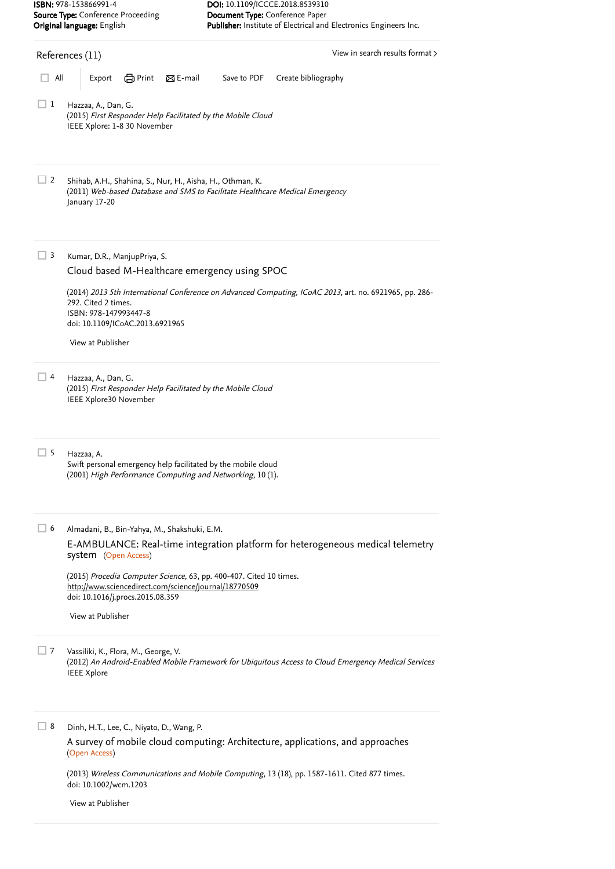<span id="page-1-0"></span>

|                                                                  | ISBN: 978-153866991-4                                                                                                                                           | DOI: 10.1109/ICCCE.2018.8539310                                                                        |  |  |  |  |
|------------------------------------------------------------------|-----------------------------------------------------------------------------------------------------------------------------------------------------------------|--------------------------------------------------------------------------------------------------------|--|--|--|--|
| Source Type: Conference Proceeding<br>Original language: English |                                                                                                                                                                 | Document Type: Conference Paper<br>Publisher: Institute of Electrical and Electronics Engineers Inc.   |  |  |  |  |
| View in search results format ><br>References (11)               |                                                                                                                                                                 |                                                                                                        |  |  |  |  |
| All                                                              | en Print<br>$\boxtimes$ E-mail<br>Export                                                                                                                        | Save to PDF<br>Create bibliography                                                                     |  |  |  |  |
| $\perp$ 1                                                        | Hazzaa, A., Dan, G.<br>(2015) First Responder Help Facilitated by the Mobile Cloud<br>IEEE Xplore: 1-8 30 November                                              |                                                                                                        |  |  |  |  |
| 2                                                                | Shihab, A.H., Shahina, S., Nur, H., Aisha, H., Othman, K.<br>(2011) Web-based Database and SMS to Facilitate Healthcare Medical Emergency<br>January 17-20      |                                                                                                        |  |  |  |  |
| 3                                                                | Kumar, D.R., ManjupPriya, S.<br>Cloud based M-Healthcare emergency using SPOC                                                                                   |                                                                                                        |  |  |  |  |
|                                                                  | 292. Cited 2 times.<br>ISBN: 978-147993447-8<br>doi: 10.1109/ICoAC.2013.6921965                                                                                 | (2014) 2013 5th International Conference on Advanced Computing, ICoAC 2013, art. no. 6921965, pp. 286- |  |  |  |  |
|                                                                  | View at Publisher                                                                                                                                               |                                                                                                        |  |  |  |  |
| $\begin{array}{c} \end{array}$                                   | Hazzaa, A., Dan, G.<br>(2015) First Responder Help Facilitated by the Mobile Cloud<br>IEEE Xplore30 November                                                    |                                                                                                        |  |  |  |  |
| 5                                                                | Hazzaa, A.<br>Swift personal emergency help facilitated by the mobile cloud<br>(2001) High Performance Computing and Networking, 10 (1).                        |                                                                                                        |  |  |  |  |
| $\perp$ 6                                                        | Almadani, B., Bin-Yahya, M., Shakshuki, E.M.                                                                                                                    |                                                                                                        |  |  |  |  |
|                                                                  | E-AMBULANCE: Real-time integration platform for heterogeneous medical telemetry<br>system (Open Access)                                                         |                                                                                                        |  |  |  |  |
|                                                                  | (2015) Procedia Computer Science, 63, pp. 400-407. Cited 10 times.<br>http://www.sciencedirect.com/science/journal/18770509<br>doi: 10.1016/j.procs.2015.08.359 |                                                                                                        |  |  |  |  |
|                                                                  | View at Publisher                                                                                                                                               |                                                                                                        |  |  |  |  |
| 7                                                                | Vassiliki, K., Flora, M., George, V.<br><b>IEEE Xplore</b>                                                                                                      | (2012) An Android-Enabled Mobile Framework for Ubiquitous Access to Cloud Emergency Medical Services   |  |  |  |  |
| 8                                                                | Dinh, H.T., Lee, C., Niyato, D., Wang, P.<br>A survey of mobile cloud computing: Architecture, applications, and approaches                                     |                                                                                                        |  |  |  |  |
|                                                                  | (Open Access)                                                                                                                                                   |                                                                                                        |  |  |  |  |
|                                                                  |                                                                                                                                                                 | (2013) Wireless Communications and Mobile Computing, 13 (18), pp. 1587-1611. Cited 877 times.          |  |  |  |  |

[View at Publisher](https://www.scopus.com/redirect/linking.uri?targetURL=https%3a%2f%2fdoi.org%2f10.1002%2fwcm.1203&locationID=3&categoryID=4&eid=2-s2.0-84888322916&issn=15308669&linkType=ViewAtPublisher&year=2013&origin=reflist&dig=f0659db9ef0adb661813619051e0d132&recordRank=)

doi: 10.1002/wcm.1203